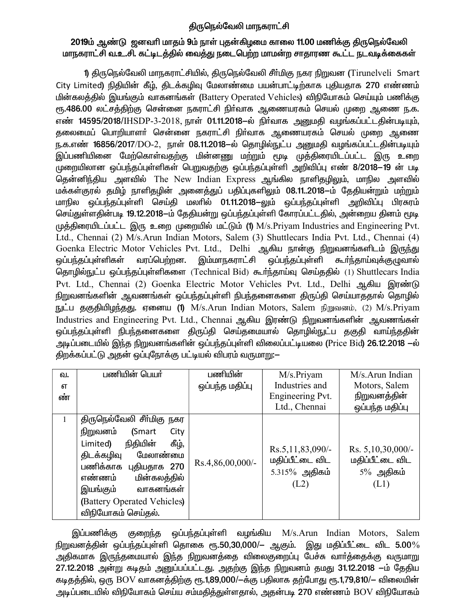# திருநெல்வேலி மாநகராட்சி

# 2019ம் ஆண்டு ஜனவரி மாதம் 9ம் நாள் புதன்கிழமை காலை 11.00 மணிக்கு திருநெல்வேலி மாநகராட்சி வ.உ.சி. கட்டிடத்தில் வைத்து நடைபெற்ற மாமன்ற சாதாரண கூட்ட நடவடிக்கைகள்

1) திருநெல்வேலி மாநகராட்சியில், திருநெல்வேலி சீர்மிகு நகர நிறுவன (Tirunelveli Smart City Limited) நிதியின் கீழ், திடக்கழிவு மேலாண்மை பயன்பாட்டிற்காக புதியதாக 270 எண்ணம் மின்கலத்தில் இயங்கும் வாகனங்கள் (Battery Operated Vehicles) விநியோகம் செய்யும் பணிக்கு ரூ.486.00 லட்சத்திற்கு சென்னை நகராட்சி நிர்வாக ஆணையரகம் செயல் முறை ஆணை ந.க. எண் 14595/2018/IHSDP-3-2018, நாள் 01.11.2018–ல் நிர்வாக அனுமதி வழங்கப்பட்டதின்படியும், .<br>கலைமைப் பொறியாளா் சென்னை நகராட்சி நிா்வாக ஆணையரகம் செயல் முறை ஆணை ந.க.எண் 16856/2017/DO-2, நாள் 08.11.2018–ல் தொழில்நுட்ப அனுமதி வழங்கப்பட்டதின்படியும் .<br>இப்பணியினை மேற்கொள்வதற்கு மின்னணு மற்றும் மூடி முத்திரையிடப்பட்ட இரு உறை முறையிலான ஒப்பந்தப்புள்ளிகள் பெறுவதற்கு ஒப்பந்தப்புள்ளி அறிவிப்பு எண் 8/2018–19 ன் படி தென்னிந்திய அளவில் The New Indian Express ஆங்கில நாளிதழிலும், மாநில அளவில் மக்கள்குரல் தமிழ் நாளிதழின் அனைத்துப் பதிப்புகளிலும் 08.11..2018—ம் தேதியன்றும் மற்றும் மாநில ஒப்பந்தப்புள்ளி செய்தி மலாில் 01.11.2018–லும் ஒப்பந்தப்புள்ளி அறிவிப்பு பிரசுரம் செய்துள்ளதின்படி 19.12.2018–ம் தேதியன்று ஒப்பந்தப்புள்ளி கோரப்பட்டதில், அன்றைய தினம் மூடி முத்திரையிடப்பட்ட இரு உறை முறையில் மட்டும் (1)  $M/s$ . Priyam Industries and Engineering Pvt. Ltd., Chennai (2) M/s.Arun Indian Motors, Salem (3) Shuttlecars India Pvt. Ltd., Chennai (4) Goenka Electric Motor Vehicles Pvt. Ltd., Delhi ஆகிய நான்கு நிறுவனங்களிடம் இருந்து ஒப்பந்தப்புள்ளிகள் வரப்பெற்றன. இம்மாநகராட்சி ஒப்பந்தப்புள்ளி கூர்ந்தாய்வுக்குழுவால் தொழில்நுட்ப ஒப்பந்தப்புள்ளிகளை (Technical Bid) கூர்ந்தாய்வு செய்ததில் (1) Shuttlecars India Pvt. Ltd., Chennai (2) Goenka Electric Motor Vehicles Pvt. Ltd., Delhi ஆகிய இரண்டு நிறுவனங்களின் ஆவணங்கள் ஒப்பந்தப்புள்ளி நிபந்தனைகளை திருப்தி செய்யாததால் தொழில் நுட்ப தகுதியிழந்தது. ஏனைய (1) M/s.Arun Indian Motors, Salem நிறுவனம், (2) M/s.Priyam Industries and Engineering Pvt. Ltd., Chennai ஆகிய இரண்டு நிறுவனங்களின் ஆவணங்கள் ஒப்பந்தப்புள்ளி நிபந்தனைகளை திருப்தி செய்தமையால் தொழில்நுட்ப தகுதி வாய்ந்ததின் அடிப்படையில் இந்த நிறுவனங்களின் ஒப்பந்தப்புள்ளி விலைப்பட்டியலை (Price Bid) **26.12.2018** —ல் திறக்கப்பட்டு அதன் ஒப்புநோக்கு பட்டியல் விபரம் வருமாறு:—

| ഖ. | பணியின் பெயர்                 | பணியின்          | M/s.Priyam                          | $M/s$ . Arun Indian                  |
|----|-------------------------------|------------------|-------------------------------------|--------------------------------------|
| எ  |                               | ஒப்பந்த மதிப்பு  | Industries and                      | Motors, Salem                        |
| ண் |                               |                  | Engineering Pvt.                    | நிறுவனத்தின்                         |
|    |                               |                  | Ltd., Chennai                       | ஒப்பந்த மதிப்பு                      |
| 1  | திருநெல்வேலி சீா்மிகு நகர     |                  |                                     |                                      |
|    | நிறுவனம்<br>(Smart<br>City    |                  |                                     |                                      |
|    | கீழ்,<br>நிதியின்<br>Limited) |                  |                                     |                                      |
|    | மேலாண்மை<br>திடக்கழிவு        |                  | Rs.5,11,83,090/-<br>மதிப்பீட்டை விட | Rs. 5,10,30,000/-<br>மதிப்பீட்டை விட |
|    | பணிக்காக புதியதாக 270         | Rs.4,86,00,000/- | $5.315\%$ அதிகம்                    | $5\%$ அதிகம்                         |
|    | எண்ணம்<br>மின்கலத்தில்        |                  | (L2)                                |                                      |
|    | இயங்கும்<br>வாகனங்கள்         |                  |                                     | (L1)                                 |
|    | (Battery Operated Vehicles)   |                  |                                     |                                      |
|    | விநியோகம் செய்கல்.            |                  |                                     |                                      |

இப்பணிக்கு குறைந்த ஒப்பந்தப்புள்ளி வழங்கிய M/s.Arun Indian Motors, Salem நிறுவனத்தின் ஒப்பந்தப்புள்ளி தொகை ரூ.50,30,000/— ஆகும். இது மதிப்பீட்டை விட  $5.00\%$ அதிகமாக இருந்தமையால் இந்த நிறுவனத்தை விலைகுறைப்பு பேச்சு வாா்த்தைக்கு வருமாறு 27.12.2018 அன்று கடிதம் அனுப்பப்பட்டது. அதற்கு இந்த நிறுவனம் தமது 31.12.2018 –ம் தேதிய கடிதத்தில், ஒரு BOV வாகனத்திற்கு ரூ.1,89,000/—க்கு பதிலாக தற்போது ரூ.1,79,810/— விலையின் அடிப்படையில் விநியோகம் செய்ய சம்மதித்துள்ளதால், அதன்படி 270 எண்ணம் BOV விநியோகம்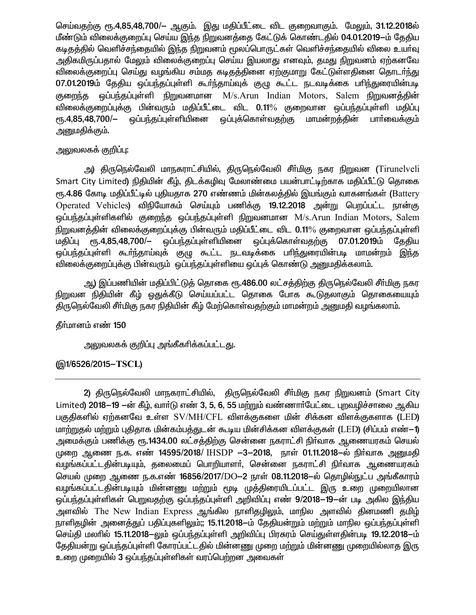செய்வதற்கு ரூ.4,85,48,700/– ஆகும். இது மதிப்பீட்டை விட குறைவாகும். மேலும், 31.12.2018ல் மீண்டும் விலைக்குறைப்பு செய்ய இந்த நிறுவனத்தை கேட்டுக் கொண்டதில் 04.01.2019—ம் தேதிய கடிதத்தில் வெளிச்சந்தையில் இந்த நிறுவனம் மூலப்பொருட்கள் வெளிச்சந்தையில் விலை உயர்வு அதிகமிருப்பதால் மேலும் விலைக்குறைப்பு செய்ய இயலாது எனவும். தமது நிறுவனம் ஏற்கனவே விலைக்குறைப்பு செய்து வழங்கிய சம்மத கடிதத்தினை ஏற்குமாறு கேட்டுள்ளதினை தொடர்ந்து 07.01.2019ம் தேதிய ஒப்பந்தப்புள்ளி கூர்ந்தாய்வுக் குழு கூட்ட நடவடிக்கை பரிந்துரையின்படி குறைந்த ஒப்பந்தப்புள்ளி நிறுவனமான M/s.Arun Indian Motors, Salem நிறுவனத்தின் விலைக்குறைப்புக்கு பின்வரும் மதிப்பீட்டை விட 0.11% குறைவான ஒப்பந்தப்புள்ளி மதிப்பு ஒப்பந்தப்பள்ளியினை ஒப்புக்கொள்வதற்கு மாமன்றத்தின்  $P$ ГБ.4,85,48,700/-பாா்வைக்கும் அனுமதிக்கும்.

# அலுவலகக் குறிப்பு:

அ) திருநெல்வேலி மாநகராட்சியில், திருநெல்வேலி சீா்மிகு நகர நிறுவன (Tirunelveli Smart City Limited) நிதியின் கீழ், திடக்கழிவு மேலாண்மை பயன்பாட்டிற்காக மதிப்பீட்டு தொகை ரு.4.86 கோடி மதிப்பீட்டில் புதியதாக 270 எண்ணம் மின்கலத்தில் இயங்கும் வாகனங்கள் (Battery Operated Vehicles) விநியோகம் செய்யும் பணிக்கு 19.12.2018 அன்று பெறப்பட்ட நான்கு ஒப்பந்தப்புள்ளிகளில் குறைந்த ஒப்பந்தப்புள்ளி நிறுவனமான M/s.Arun Indian Motors, Salem நிறுவனத்தின் விலைக்குறைப்புக்கு பின்வரும் மதிப்பீட்டை விட 0.11% குறைவான ஒப்பந்தப்புள்ளி மதிப்பு ரூ.4,85,48,700/— ஒப்பந்தப்புள்ளியினை ஒப்புக்கொள்வதற்கு 07.01.2019ம் கேகிய ஒப்பந்தப்புள்ளி கூர்ந்தாய்வுக் குழு கூட்ட நடவடிக்கை பரிந்துரையின்படி மாமன்றம் இந்த விலைக்குறைப்புக்கு பின்வரும் ஒப்பந்தப்புள்ளியை ஒப்புக் கொண்டு அனுமதிக்கலாம்.

ஆ) இப்பணியின் மதிப்பிட்டுத் தொகை ரூ.486.00 லட்சத்திற்கு திருநெல்வேலி சீர்மிகு நகர நிறுவன நிதியின் கீழ் ஒதுக்கீடு செய்யப்பட்ட தொகை போக கூடுதலாகும் தொகையையும் திருநெல்வேலி சீா்மிகு நகர நிதியின் கீழ் மேற்கொள்வதற்கும் மாமன்றம் அனுமதி வழங்கலாம்.

#### தீர்மானம் எண் 150

அலுவலகக் குறிப்பு அங்கீகரிக்கப்பட்டது.

# (@1/6526/2015-TSCL)

2) திருநெல்வேலி மாநகராட்சியில், திருநெல்வேலி சீா்மிகு நகர நிறுவனம் (Smart City Limited) 2018–19 –ன் கீழ், வார்டு எண் 3, 5, 6, 55 மற்றும் வண்ணார்பேட்டை புறவழிச்சாலை ஆகிய பகுதிகளில் ஏற்கனவே உள்ள SV/MH/CFL விளக்குகளை மின் சிக்கன விளக்குகளாக (LED) மாற்றுதல் மற்றும் புதிதாக மின்கம்பத்துடன் கூடிய மின்சிக்கன விளக்குகள் (LED) (சிப்பம் எண்—1) அமைக்கும் பணிக்கு ரூ.1434.00 லட்சத்திற்கு சென்னை நகராட்சி நிா்வாக ஆணையரகம் செயல் முறை ஆணை ந.க. எண் 14595/2018/ IHSDP -3-2018, நாள் 01.11.2018–ல் நிர்வாக அனுமகி வழங்கப்பட்டதின்படியும், தலைமைப் பொறியாளா், சென்னை நகராட்சி நிா்வாக ஆணையரகம் செயல் முறை ஆணை ந.க.எண் 16856/2017/DO-2 நாள் 08.11.2018-ல் தொழில்நுட்ப அங்கீகாரம் வழங்கப்பட்டதின்படியும் மின்னணு மற்றும் மூடி முத்திரையிடப்பட்ட இரு உறை முறையிலான ஒப்பந்தப்புள்ளிகள் பெறுவதற்கு ஒப்பந்தப்புள்ளி அறிவிப்பு எண் 9/2018—19—ன் படி அகில இந்திய அளவில் The New Indian Express ஆங்கில நாளிதழிலும், மாநில அளவில் தினமணி தமிழ் நாளிதழின் அனைத்துப் பதிப்புகளிலும்;; 15.11.2018—ம் தேதியன்றும் மற்றும் மாநில ஒப்பந்தப்புள்ளி செய்தி மலரில் 15.11.2018–லும் ஒப்பந்தப்புள்ளி அறிவிப்பு பிரசுரம் செய்துள்ளதின்படி 19.12.2018–ம் தேதியன்று ஒப்பந்தப்புள்ளி கோரப்பட்டதில் மின்னணு முறை மற்றும் மின்னணு முறையில்லாத இரு உறை முறையில் 3 ஒப்பந்தப்புள்ளிகள் வரப்பெற்றன அவைகள்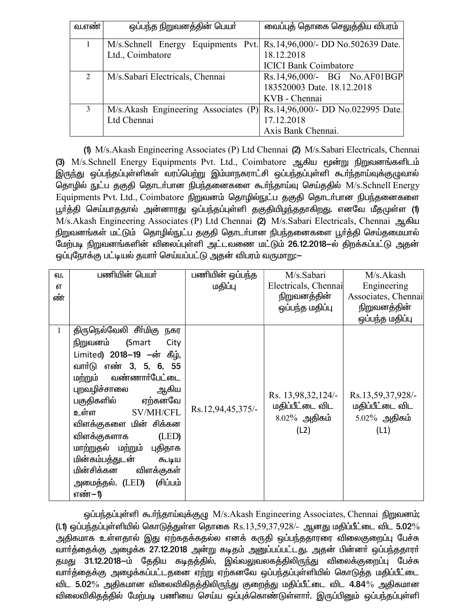| வ.எண்          | ஒப்பந்த நிறுவனத்தின் பெயர்                                           | வைப்புத் தொகை செலுத்திய விபரம்    |  |
|----------------|----------------------------------------------------------------------|-----------------------------------|--|
|                | M/s.Schnell Energy Equipments Pvt. Rs.14,96,000/- DD No.502639 Date. |                                   |  |
|                | Ltd., Coimbatore                                                     | 18.12.2018                        |  |
|                |                                                                      | <b>ICICI Bank Coimbatore</b>      |  |
| $\mathfrak{D}$ | M/s. Sabari Electricals, Chennai                                     | Rs.14,96,000/- BG No.AF01BGP      |  |
|                |                                                                      | 183520003 Date. 18.12.2018        |  |
|                |                                                                      | KVB - Chennai                     |  |
| 3              | M/s.Akash Engineering Associates (P)                                 | Rs.14,96,000/- DD No.022995 Date. |  |
|                | Ltd Chennai                                                          | 17.12.2018                        |  |
|                |                                                                      | Axis Bank Chennai.                |  |

(1) M/s. Akash Engineering Associates (P) Ltd Chennai (2) M/s. Sabari Electricals, Chennai (3) M/s.Schnell Energy Equipments Pvt. Ltd., Coimbatore ஆகிய மூன்று நிறுவனங்களிடம் இருந்து ஒப்பந்தப்புள்ளிகள் வரப்பெற்று இம்மாநகராட்சி ஒப்பந்தப்புள்ளி கூர்ந்தாய்வுக்குழுவால் தொழில் நுட்ப தகுதி தொடர்பான நிபந்தனைகளை கூர்ந்தாய்வு செய்ததில் M/s.Schnell Energy Equipments Pvt. Ltd., Coimbatore நிறுவனம் தொழில்நுட்ப தகுதி தொடர்பான நிபந்தனைகளை பூர்த்தி செய்யாததால் அன்னாரது ஒப்பந்தப்புள்ளி தகுதியிழந்ததாகிறது. எனவே மீதமுள்ள (1) M/s.Akash Engineering Associates (P) Ltd Chennai (2) M/s.Sabari Electricals, Chennai ஆகிய நிறுவனங்கள் மட்டும் தொழில்நுட்ப தகுதி தொடர்பான நிபந்தனைகளை பூர்த்தி செய்தமையால் மேற்படி நிறுவனங்களின் விலைப்புள்ளி அட்டவணை மட்டும் 26.12.2018–ல் திறக்கப்பட்டு அதன் ஒப்புநோக்கு பட்டியல் தயாா் செய்யப்பட்டு அதன் விபரம் வருமாறு:—

| வ.           | பணியின் பெயர்              | பணியின் ஒப்பந்த   | M/s.Sabari                            | M/s.Akash                            |
|--------------|----------------------------|-------------------|---------------------------------------|--------------------------------------|
| எ            |                            | மதிப்பு           | Electricals, Chennai                  | Engineering                          |
| ண்           |                            |                   | நிறுவனத்தின்                          | Associates, Chennai                  |
|              |                            |                   | ஒப்பந்த மதிப்பு                       | நிறுவனத்தின்                         |
|              |                            |                   |                                       | ஒப்பந்த மதிப்பு                      |
| $\mathbf{1}$ | திருநெல்வேலி சீர்மிகு நகர  |                   |                                       |                                      |
|              | நிறுவனம் (Smart<br>City    |                   |                                       |                                      |
|              | Limited) 2018-19 -ன் கீழ், |                   |                                       |                                      |
|              | வார்டு எண் 3, 5, 6, 55     |                   |                                       |                                      |
|              | மற்றும் வண்ணார்பேட்டை      |                   |                                       |                                      |
|              | புறவழிச்சாலை<br>ஆகிய       |                   |                                       |                                      |
|              | பகுதிகளில் ஏற்கனவே         |                   | Rs. 13,98,32,124/-<br>மதிப்பீட்டை விட | Rs.13,59,37,928/-<br>மதிப்பீட்டை விட |
|              | SV/MH/CFL<br>உள்ள          | Rs.12,94,45,375/- |                                       |                                      |
|              | விளக்குகளை மின் சிக்கன     |                   | $8.02\%$ அதிகம்                       | $5.02\%$ அதிகம்                      |
|              | விளக்குகளாக<br>(LED)       |                   | (L2)                                  | (L1)                                 |
|              | மாற்றுதல் மற்றும் புதிதாக  |                   |                                       |                                      |
|              | மின்கம்பத்துடன்<br>கூடிய   |                   |                                       |                                      |
|              | மின்சிக்கன விளக்குகள்      |                   |                                       |                                      |
|              | அமைத்தல். (LED) (சிப்பம்   |                   |                                       |                                      |
|              | எண்-1)                     |                   |                                       |                                      |

ஒப்பந்தப்புள்ளி கூர்ந்தாய்வுக்குழு M/s.Akash Engineering Associates, Chennai நிறுவனம்; (L1) ஒப்பந்தப்புள்ளியில் கொடுத்துள்ள தொகை  $\text{Rs}.13,59,37,928/$ - ஆனது மதிப்பீட்டை விட  $5.02\%$ அதிகமாக உள்ளதால் இது ஏற்கதக்கதல்ல எனக் கருதி ஒப்பந்ததாரரை விலைகுறைப்பு பேச்சு —…<br>வாா்த்தைக்கு அழைக்க 27.12.2018 அன்று கடிதம் அனுப்பப்பட்டது. அதன் பின்னா் ஒப்பந்ததாரா் தமது 31.12.2018-ம் தேதிய கடிதத்தில், இவ்வலுவலகத்திலிருந்து விலைக்குறைப்பு பேச்சு வார்த்தைக்கு அழைக்கப்பட்டதனை ஏற்று ஏற்கனவே ஒப்பந்தப்புள்ளியில் கொடுத்த மதிப்பீட்டை விட 5.02% அதிகமான விலைவிகிதத்திலிருந்து குறைத்து மதிப்பீட்டை விட 4.84% அதிகமான விலைவிகிதத்தில் மேற்படி பணியை செய்ய ஒப்புக்கொண்டுள்ளாா். இருப்பினும் ஒப்பந்தப்புள்ளி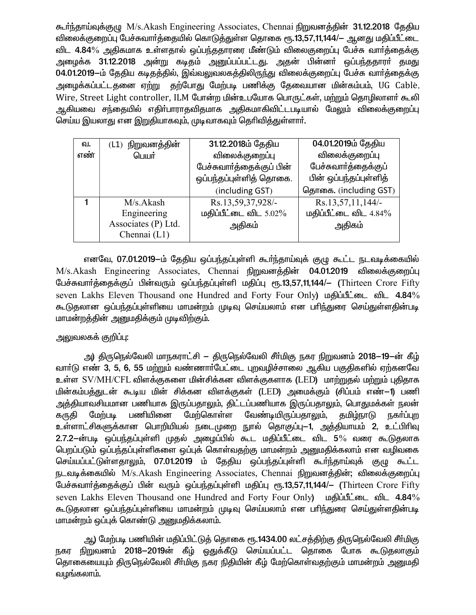கூர்ந்தாய்வுக்குமு M/s.Akash Engineering Associates, Chennai நிறுவனக்கின் 31.12.2018 தேதிய விலைக்குறைப்பு பேச்சுவார்த்தையில் கொடுத்துள்ள தொகை ரூ.13,57,11,144/— ஆனது மதிப்பீட்டை விட 4.84% அதிகமாக உள்ளதால் ஒப்பந்ததாரரை மீண்டும் விலைகுறைப்பு பேச்சு வார்த்தைக்கு அழைக்க 31.12.2018 அன்று கடிதம் அனுப்பப்பட்டது. அதன் பின்னா் ஒப்பந்ததாரா் தமது 04.01.2019-ம் தேதிய கடிதத்தில், இவ்வலுவலகத்திலிருந்து விலைக்குறைப்பு பேச்சு வார்த்தைக்கு அழைக்கப்பட்டதனை ஏற்று தற்போது மேற்படி பணிக்கு தேவையான மின்கம்பம், UG Cable, Wire, Street Light controller, ILM போன்ற மின்உபயோக பொருட்கள், மற்றும் தொழிலாளர் கூலி ஆகியவை சந்தையில் எதிா்பாராதவிதமாக அதிகமாகிவிட்டபடியால் மேலும் விலைக்குறைப்பு செய்ய இயலாது என இறுதியாகவும், முடிவாகவும் தெரிவித்துள்ளார்.

| வ.  | $(L1)$ நிறுவனத்தின் | 31.12.2018ம் தேதிய        | 04.01.2019ம் தேதிய       |
|-----|---------------------|---------------------------|--------------------------|
| எண் | பெயர்               | விலைக்குறைப்பு            | விலைக்குறைப்பு           |
|     |                     | பேச்சுவார்த்தைக்குப் பின் | பேச்சுவார்த்தைக்குப்     |
|     |                     | ஒப்பந்தப்புள்ளித் தொகை.   | பின் ஒப்பந்தப்புள்ளித்   |
|     |                     | (including GST)           | தொகை. (including GST)    |
|     | M/s. Akash          | Rs.13,59,37,928/-         | Rs.13,57,11,144/-        |
|     | Engineering         | மதிப்பீட்டை விட $5.02\%$  | மதிப்பீட்டை விட $4.84\%$ |
|     | Associates (P) Ltd. | அதிகம்                    | அதிகம்                   |
|     | Chennai (L1)        |                           |                          |

எனவே, 07.01.2019-ம் தேதிய ஒப்பந்தப்புள்ளி கூர்ந்தாய்வுக் குழு கூட்ட நடவடிக்கையில் M/s.Akash Engineering Associates, Chennai நிறுவனத்தின் 04.01.2019 விலைக்குறைப்பு பேச்சுவார்த்தைக்குப் பின்வரும் ஒப்பந்தப்புள்ளி மதிப்பு ரூ.13,57,11,144/- (Thirteen Crore Fifty seven Lakhs Eleven Thousand one Hundred and Forty Four Only)  $\mu$  and  $\mu$  and  $\mu$  4.84% கூடுதலான ஒப்பந்தப்புள்ளியை மாமன்றம் முடிவு செய்யலாம் என பரிந்துரை செய்துள்ளதின்படி மாமன்றத்தின் அனுமதிக்கும் முடிவிற்கும்.

# அலுவலகக் குறிப்பு:

அ) திருநெல்வேலி மாநகராட்சி — திருநெல்வேலி சீா்மிகு நகர நிறுவனம் 2018–19—ன் கீழ் வார்டு எண் 3, 5, 6, 55 மற்றும் வண்ணார்பேட்டை புறவழிச்சாலை ஆகிய பகுதிகளில் ஏற்கனவே உள்ள SV/MH/CFL விளக்குகளை மின்சிக்கன விளக்குகளாக (LED) மாற்றுதல் மற்றும் புதிதாக மின்கம்பத்துடன் கூடிய மின் சிக்கன விளக்குகள் (LED) அமைக்கும் (சிப்பம் எண் $-$ 1) பணி அத்தியாவசியமான பணியாக இருப்பதாலும், திட்டப்பணியாக இருப்பத<u>ாலு</u>ம், பொதுமக்கள் நலன் கருகி மேற்படி பணியினை மேற்கொள்ள வேண்டியிருப்பதாலும், தமிழ்நாடு நகர்ப்புற உள்ளாட்சிகளுக்கான பொறியியல் நடைமுறை நூல் தொகுப்பு—1, அத்தியாயம் 2, உட்பிரிவு 2.7.2-ன்படி ஒப்பந்தப்புள்ளி முதல் அமைப்பில் கூட மதிப்பீட்டை விட 5% வரை கூடுதலாக பெறப்படும் ஒப்பந்தப்புள்ளிகளை ஒப்புக் கொள்வதற்கு மாமன்றம் அனுமதிக்கலாம் என வழிவகை செய்யப்பட்டுள்ளதாலும், 07.01.2019 ம் தேதிய ஒப்பந்தப்புள்ளி கூர்ந்தாய்வுக் குழு கூட்ட நடவடிக்கையில் M/s.Akash Engineering Associates, Chennai நிறுவனத்தின்; விலைக்குறைப்பு பேச்சுவார்த்தைக்குப் பின் வரும் ஒப்பந்தப்புள்ளி மதிப்பு ரூ.13,57,11,144/- (Thirteen Crore Fifty seven Lakhs Eleven Thousand one Hundred and Forty Four Only) **underling that** 4.84% கூடுதலான ஒப்பந்தப்புள்ளியை மாமன்றம் முடிவு செய்யலாம் என பரிந்துரை செய்துள்ளதின்படி மாமன்றம் ஒப்புக் கொண்டு அனுமதிக்கலாம்.

அ) மேற்படி பணியின் மதிப்பிட்டுத் தொகை ரூ.1434.00 லட்சத்திற்கு திருநெல்வேலி சீர்மிகு நகர நிறுவனம் 2018–2019ன் கீழ் ஒதுக்கீடு செய்யப்பட்ட தொகை போக கூடுதலாகும் தொகையையும் திருநெல்வேலி சீா்மிகு நகர நிதியின் கீழ் மேற்கொள்வதற்கும் மாமன்றம் அனுமதி வழங்கலாம்.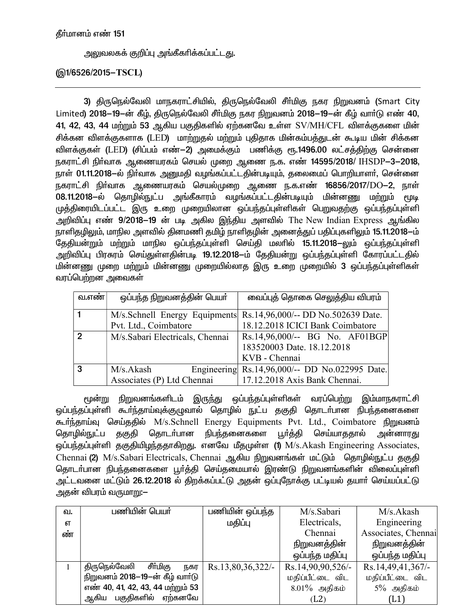# அலுவலகக் குறிப்பு அங்கீகரிக்கப்பட்டது.

# (@1/6526/2015-TSCL)

3) திருநெல்வேலி மாநகராட்சியில், திருநெல்வேலி சீர்மிகு நகர நிறுவனம் (Smart City Limited) 2018-19-ன் கீழ், திருநெல்வேலி சீர்மிகு நகர நிறுவனம் 2018-19-ன் கீழ் வார்டு எண் 40,  $41, 42, 43, 44$  மற்றும் 53 ஆகிய பகுதிகளில் ஏற்கனவே உள்ள  $\mathrm{SV}/\mathrm{MH}/\mathrm{CFL}$  விளக்குகளை மின் சிக்கன விளக்குகளாக (LED) மாற்றுதல் மற்றும் புதிதாக மின்கம்பத்துடன் கூடிய மின் சிக்கன விளக்குகள் (LED) (சிப்பம் எண்—2) அமைக்கும் பணிக்கு ரூ.1496.00 லட்சத்திற்கு சென்னை நகராட்சி நிர்வாக ஆணையரகம் செயல் முறை ஆணை ந.க. எண் 14595/2018/ IHSDP-3-2018, நாள் 01.11.2018—ல் நிா்வாக அனுமதி வழங்கப்பட்டதின்படியும், தலைமைப் பொறியாளா், சென்னை நகராட்சி நிர்வாக ஆணையரகம் செயல்முறை ஆணை ந.க.எண் 16856/2017/DO-2, நாள் 08.11.2018-ல் தொழில்நுட்ப அங்கீகாரம் வழங்கப்பட்டதின்படியும் மின்னணு மற்றும் மூடி முத்திரையிடப்பட்ட இரு உறை முறையிலான ஒப்பந்தப்புள்ளிகள் பெறுவதற்கு ஒப்பந்தப்புள்ளி அறிவிப்பு எண்  $9/2018-19$  ன் படி அகில இந்திய அளவில் The New Indian Express ஆங்கில நாளிதழிலும், மாநில அளவில் தினமணி தமிழ் நாளிதழின் அனைத்துப் பதிப்புகளிலும் 15.11.2018—ம் தேதியன்றும் மற்றும் மாநில ஒப்பந்தப்புள்ளி செய்தி மலாில் 15.11.2018-லும் ஒப்பந்தப்புள்ளி அறிவிப்பு பிரசுரம் செய்துள்ளதின்படி 19.12.2018–ம் தேதியன்று ஒப்பந்தப்புள்ளி கோரப்பட்டதில் <u>மின்னணு</u> முறை மற்றும் மின்னணு முறையில்லாத இரு உறை முறையில் 3 ஒப்பந்தப்புள்ளிகள் வரப்பெற்றன அவைகள்

| வ.எண் $ $      | ஒப்பந்த நிறுவனத்தின் பெயர்      | வைப்புத் தொகை செலுத்திய விபரம்                                   |
|----------------|---------------------------------|------------------------------------------------------------------|
|                |                                 | M/s.Schnell Energy Equipments Rs.14,96,000/-- DD No.502639 Date. |
|                | Pvt. Ltd., Coimbatore           | 18.12.2018 ICICI Bank Coimbatore                                 |
| $\mathfrak{p}$ | M/s.Sabari Electricals, Chennai | Rs.14,96,000/-- BG No. AF01BGP                                   |
|                |                                 | 183520003 Date. 18.12.2018                                       |
|                |                                 | KVB - Chennai                                                    |
| $\mathbf{3}$   | M/s.Akash                       | Engineering Rs.14,96,000/-- DD No.022995 Date.                   |
|                | Associates (P) Ltd Chennai      | 17.12.2018 Axis Bank Chennai.                                    |

ு முன்று நிறுவனங்களிடம் இருந்து ஒப்பந்தப்புள்ளிகள் வரப்பெற்று இம்மாநகராட்சி ஒப்பந்தப்புள்ளி கூர்ந்தாய்வுக்குழுவால் தொழில் நுட்ப தகுதி தொடர்பான நிபந்தனைகளை கூர்ந்தாய்வு செய்ததில் M/s.Schnell Energy Equipments Pvt. Ltd., Coimbatore நிறுவனம் தொழில்நுட்ப தகுதி தொடர்பான நிபந்தனைகளை பூர்த்தி செய்யாததால் அன்னாரது ஒப்பந்தப்புள்ளி தகுதியிழந்ததாகிறது. எனவே மீதமுள்ள (1) M/s.Akash Engineering Associates, Chennai (2) M/s.Sabari Electricals, Chennai ஆகிய நிறுவனங்கள் மட்டும் தொழில்நுட்ப தகுதி தொடா்பான நிபந்தனைகளை பூா்த்தி செய்தமையால் இரண்டு நிறுவனங்களின் விலைப்புள்ளி அட்டவனை மட்டும் 26.12.2018 ல் திறக்கப்பட்டு அதன் ஒப்புநோக்கு பட்டியல் தயார் செய்யப்பட்டு அதன் விபரம் வருமா<u>று</u>:—

| வ. | பணியின் பெயா்                     | பணியின் ஒப்பந்த   | M/s.Sabari        | M/s.Akash           |
|----|-----------------------------------|-------------------|-------------------|---------------------|
| எ  |                                   | மதிப்பு           | Electricals,      | Engineering         |
| ண் |                                   |                   | Chennai           | Associates, Chennai |
|    |                                   |                   | நிறுவனத்தின்      | நிறுவனத்தின்        |
|    |                                   |                   | ஒப்பந்த மதிப்பு   | ஒப்பந்த மதிப்பு     |
|    | திருநெல்வேலி<br>சீர்மிகு<br>நகர   | Rs.13,80,36,322/- | Rs.14,90,90,526/- | Rs.14,49,41,367/-   |
|    | நிறுவனம் 2018-19-ன் கீழ் வார்டு   |                   | மதிப்பீட்டை விட   | மதிப்பீட்டை விட     |
|    | எண் 40, 41, 42, 43, 44 மற்றும் 53 |                   | $8.01\%$ அதிகம்   | $5\%$ அதிகம்        |
|    | ஆகிய பகுதிகளில் ஏற்கனவே           |                   | (L2)              | (L1)                |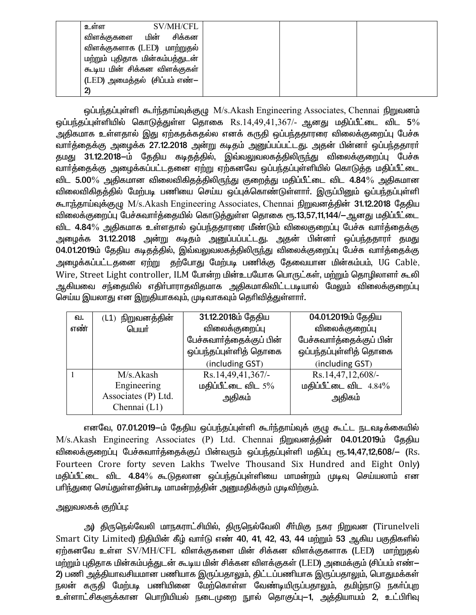| SV/MH/CFL<br>உளள                |  |
|---------------------------------|--|
| விளக்குகளை மின் சிக்கன          |  |
| விளக்குகளாக (LED) மாற்றுதல்     |  |
| மற்றும் புதிதாக மின்கம்பத்துடன் |  |
| கூடிய மின் சிக்கன விளக்குகள்    |  |
| (LED) அமைத்தல் (சிப்பம் எண்–    |  |
| 2)                              |  |

ஒப்பந்தப்புள்ளி கூர்ந்தாய்வுக்குழு M/s.Akash Engineering Associates, Chennai நிறுவனம் ஒப்பந்தப்புள்ளியில் கொடுத்துள்ள தொகை  $\mathrm{Rs.14,49,41,367/-}$  ஆனது மதிப்பீட்டை விட 5% ு<br>அதிகமாக உள்ளதால் இது ஏற்கதக்கதல்ல எனக் கருதி ஒப்பந்ததாரரை விலைக்குறைப்பு பேச்சு வார்த்தைக்கு அழைக்க 27.12.2018 அன்று கடிதம் அனுப்பப்பட்டது. அதன் பின்னா் ஒப்பந்ததாரா் தமது 31.12.2018-ம் தேதிய கடிதத்தில், இவ்வலுவலகத்திலிருந்து விலைக்குறைப்பு பேச்சு ்வார்த்தைக்கு அழைக்கப்பட்டதனை ஏற்று ஏற்கனவே ஒப்பந்தப்புள்ளியில் கொடுத்த மதிப்பீட்டை விட 5.00 $\%$  அதிகமான விலைவிகிதத்திலிருந்து குறைத்து மதிப்பீட்டை விட 4.84 $\%$  அதிகமான விலைவிகிதத்தில் மேற்படி பணியை செய்ய ஒப்புக்கொண்டுள்ளாா். இருப்பினும் ஓப்பந்தப்புள்ளி கூருந்தாய்வுக்குழு M/s.Akash Engineering Associates, Chennai நிறுவனத்தின் 31.12.2018 தேதிய விலைக்குறைப்பு பேச்சுவார்த்தையில் கொடுத்துள்ள தொகை ரூ.13,57,11,144/- ஆனது மதிப்பீட்டை <u>விட 4.84% அதிகமாக உள்ளதால் ஒப்பந்ததாரரை மீண்டும் விலைகுறைப்பு பேச்சு வார்த்தைக்கு</u> அழைக்க 31.12.2018 அன்று கடிதம் அனுப்பப்பட்டது. அதன் பின்னா் ஒப்பந்ததாரா் தமது 04.01.2019ம் தேதிய கடிதத்தில், இவ்வலுவலகத்திலிருந்து விலைக்குறைப்பு பேச்சு வார்த்தைக்கு அழைக்கப்பட்டதனை ஏற்று தற்போது மேற்படி பணிக்கு தேவையான மின்கம்பம், UG Cable, Wire, Street Light controller, ILM போன்ற மின்உபயோக பொருட்கள், மற்றும் தொழிலாளர் கூலி ஆகியவை சந்தையில் எதிா்பாராதவிதமாக அதிகமாகிவிட்டபடியால் மேலும் விலைக்குறைப்பு செய்ய இயலாது என இறுதியாகவும், முடிவாகவும் தெரிவித்துள்ளார்.

| ഖ.           | $(L1)$ நிறுவனத்தின் | 31.12.2018ம் தேதிய        | 04.01.2019ம் தேதிய        |  |
|--------------|---------------------|---------------------------|---------------------------|--|
| எண்<br>பெயர் |                     | விலைக்குறைப்பு            | விலைக்குறைப்பு            |  |
|              |                     | பேச்சுவார்த்தைக்குப் பின் | பேச்சுவார்த்தைக்குப் பின் |  |
|              |                     | ஒப்பந்தப்புள்ளித் தொகை    | ஒப்பந்தப்புள்ளித் தொகை    |  |
|              |                     | (including GST)           | (including GST)           |  |
|              | M/s.Akash           | Rs.14,49,41,367/-         | Rs.14,47,12,608/-         |  |
|              | Engineering         | மதிப்பீட்டை விட $5\%$     | மதிப்பீட்டை விட $4.84\%$  |  |
|              | Associates (P) Ltd. | அதிகம்                    | அதிகம்                    |  |
|              | Chennai (L1)        |                           |                           |  |

எனவே, 07.01.2019-ம் தேதிய ஒப்பந்தப்புள்ளி கூர்ந்தாய்வுக் குழு கூட்ட நடவடிக்கையில் M/s.Akash Engineering Associates (P) Ltd. Chennai நிறுவனத்தின் 04.01.2019ம் தேதிய விலைக்குறைப்பு பேச்சுவார்த்தைக்குப் பின்வரும் ஒப்பந்தப்புள்ளி மதிப்பு ரூ.14,47,12,608/— (Rs. Fourteen Crore forty seven Lakhs Twelve Thousand Six Hundred and Eight Only) மதிப்பீட்டை விட 4.84% கூடுதலான ஒப்பந்தப்புள்ளியை மாமன்றம் முடிவு செய்யலாம் என பரிந்துரை செய்துள்ளதின்படி மாமன்றத்தின் அனுமதிக்கும் முடிவிற்கும்.

# அலுவலகக் குறிப்பு:

அ) திருநெல்வேலி மாநகராட்சியில், திருநெல்வேலி சீா்மிகு நகர நிறுவன (Tirunelveli Smart City Limited) நிதியின் கீழ் வார்டு எண் 40, 41, 42, 43, 44 மற்றும் 53 ஆகிய பகுதிகளில் ஏற்கனவே உள்ள SV/MH/CFL விளக்குகளை மின் சிக்கன விளக்குகளாக (LED) மாற்றுதல் மற்றும் புதிதாக மின்கம்பத்துடன் கூடிய மின் சிக்கன விளக்குகள் (LED) அமைக்கும் (சிப்பம் எண்— 2) பணி அத்தியாவசியமான பணியாக இருப்பதாலும், திட்டப்பணியாக இருப்பதாலும், பொதுமக்கள் நலன் கருதி மேற்படி பணியினை மேற்கொள்ள வேண்டியிருப்பதாலும், தமிழ்நாடு நகா்ப்புற உள்ளாட்சிகளுக்கான பொறியியல் நடைமுறை நூல் தொகுப்பு—1, அத்தியாயம் 2, உட்பிரிவு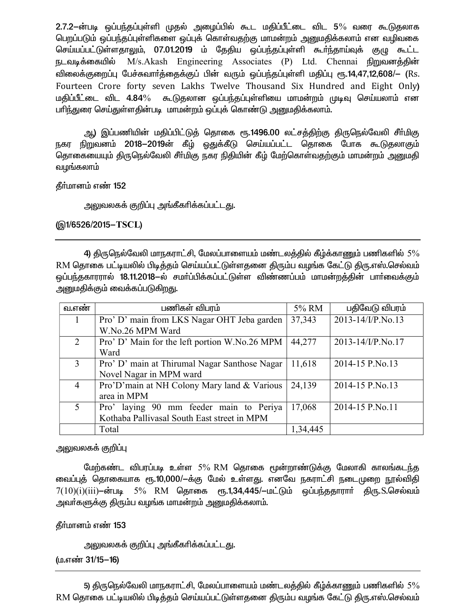2.7.2-ன்படி ஒப்பந்தப்புள்ளி முதல் அழைப்பில் கூட மதிப்பீட்டை விட 5% வரை கூடுதலாக பெறப்படும் ஒப்பந்தப்புள்ளிகளை ஒப்புக் கொள்வதற்கு மாமன்றம் அனுமதிக்கலாம் என வழிவகை செய்யப்பட்டுள்ளதாலும், 07.01.2019 ம் தேதிய ஒப்பந்தப்புள்ளி கூர்ந்தாய்வுக் குழு கூட்ட நடவடிக்கையில் M/s.Akash Engineering Associates (P) Ltd. Chennai நிறுவனத்தின் விலைக்குறைப்பு பேச்சுவாா்த்தைக்குப் பின் வரும் ஒப்பந்தப்புள்ளி மதிப்பு ரூ.14,47,12,608/— (Rs. Fourteen Crore forty seven Lakhs Twelve Thousand Six Hundred and Eight Only) மதிப்பீட்டை விட 4.84% கூடுதலான ஒப்பந்தப்புள்ளியை மாமன்றம் முடிவு செய்யலாம் என பரிந்துரை செய்துள்ளதின்படி மாமன்றம் ஒப்புக் கொண்டு அனுமதிக்கலாம்.

ஆ) இப்பணியின் மதிப்பிட்டுத் தொகை ரூ.1496.00 லட்சத்திற்கு திருநெல்வேலி சீா்மிகு நகர நிறுவனம் 2018–2019ன் கீழ் ஒதுக்கீடு செய்யப்பட்ட தொகை போக கூடுதலாகும் தொகையையும் திருநெல்வேலி சீர்மிகு நகர நிதியின் கீழ் மேற்கொள்வதற்கும் மாமன்றம் அனுமதி வழங்கலாம்

தீர்மானம் எண் 152

அலுவலகக் குறிப்பு அங்கீகரிக்கப்பட்ட<u>த</u>ு.

(@1/6526/2015-TSCL)

4) திருநெல்வேலி மாநகராட்சி, மேலப்பாளையம் மண்டலத்தில் கீழ்க்காணும் பணிகளில்  $5\%$ RM தொகை பட்டியலில் பிடித்தம் செய்யப்பட்டுள்ளதனை திரும்ப வழங்க கேட்டு திரு.எஸ்.செல்வம் ஒப்பந்தகாரரால் 18.11.2018—ல் சமா்ப்பிக்கப்பட்டுள்ள விண்ணப்பம் மாமன்றத்தின் பாா்வைக்கும் அனுமதிக்கும் வைக்கப்படுகி<u>றத</u>ு.

| வ.எண்          | பணிகள் விபரம்                                         |          | பதிவேடு விபரம்         |
|----------------|-------------------------------------------------------|----------|------------------------|
|                | Pro' D' main from LKS Nagar OHT Jeba garden<br>37,343 |          | 2013-14/I/P.No.13      |
|                | W.No.26 MPM Ward                                      |          |                        |
| $\mathcal{L}$  | Pro' D' Main for the left portion W.No.26 MPM         | 44,277   | $2013 - 14$ /I/P.No.17 |
|                | Ward                                                  |          |                        |
| $\mathcal{E}$  | Pro' D' main at Thirumal Nagar Santhose Nagar         | 11,618   | 2014-15 P.No.13        |
|                | Novel Nagar in MPM ward                               |          |                        |
| $\overline{4}$ | Pro'D'main at NH Colony Mary land & Various<br>24,139 |          | 2014-15 P.No.13        |
|                | area in MPM                                           |          |                        |
| $\sim$         | Pro' laying 90 mm feeder main to Periya               | 17,068   | 2014-15 P.No.11        |
|                | Kothaba Pallivasal South East street in MPM           |          |                        |
|                | Total                                                 | 1,34,445 |                        |

அலுவலகக் குறிப்பு

மேற்கண்ட விபரப்படி உள்ள 5% RM தொகை மூன்றாண்டுக்கு மேலாகி காலங்கடந்த வைப்புத் தொகையாக ரூ.10,000/-க்கு மேல் உள்ளது. எனவே நகராட்சி நடைமுறை நூல்விதி  $7(10)(i)(iii)$ —ன்படி 5% RM தொகை ரூ.1,34,445/—மட்டும் ஒப்பந்ததாராா் திரு. $S$ .செல்வம் அவா்களுக்கு திரும்ப வழங்க மாமன்றம் அனுமதிக்கலாம்.

தீர்மானம் எண் 153

அலுவலகக் குறிப்பு அங்கீகரிக்கப்பட்டது.

(ம.எண் 31/15-16)

5) திருநெல்வேலி மாநகராட்சி, மேலப்பாளையம் மண்டலத்தில் கீழ்க்காணும் பணிகளில்  $5\%$ RM தொகை பட்டியலில் பிடித்தம் செய்யப்பட்டுள்ளதனை திரும்ப வழங்க கேட்டு திரு.எஸ்.செல்வம்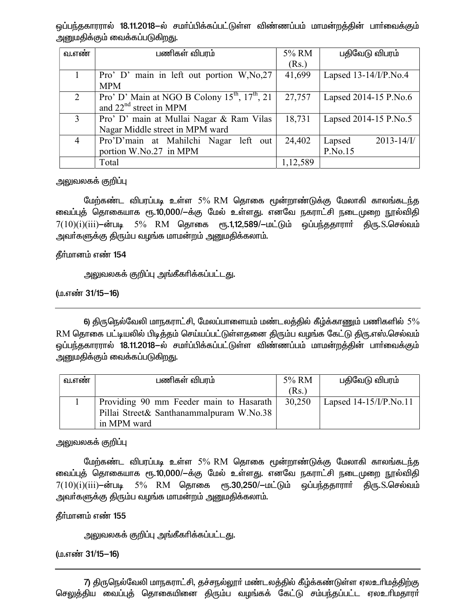ஒப்பந்தகாரரால் 18.11.2018—ல் சமா்ப்பிக்கப்பட்டுள்ள விண்ணப்பம் மாமன்றத்தின் பாா்வைக்கும் அனுமதிக்கும் வைக்கப்படுகிறது.

| வ.எண                        | பணிகள் விபரம்                                           | 5% RM    | பதிவேடு விபரம்            |
|-----------------------------|---------------------------------------------------------|----------|---------------------------|
|                             |                                                         | (Rs.)    |                           |
|                             | Pro' D' main in left out portion W, No, 27              | 41,699   | Lapsed $13-14$ /I/P.No.4  |
|                             | <b>MPM</b>                                              |          |                           |
| $\mathcal{D}_{\mathcal{L}}$ | Pro' D' Main at NGO B Colony $15^{th}$ , $17^{th}$ , 21 | 27,757   | Lapsed 2014-15 P.No.6     |
|                             | and $22nd$ street in MPM                                |          |                           |
| 3                           | Pro' D' main at Mullai Nagar & Ram Vilas                | 18,731   | Lapsed 2014-15 P.No.5     |
|                             | Nagar Middle street in MPM ward                         |          |                           |
| $\overline{4}$              | Pro'D'main at Mahilchi Nagar left out                   | 24,402   | $2013 - 14$ /I/<br>Lapsed |
|                             | portion W.No.27 in MPM                                  |          | P.No.15                   |
|                             | Total                                                   | 1,12,589 |                           |

அலுவலகக் குறிப்பு

மேற்கண்ட விபரப்படி உள்ள 5% RM தொகை மூன்றாண்டுக்கு மேலாகி காலங்கடந்த வைப்புத் தொகையாக ரூ.10,000/-க்கு மேல் உள்ளது. எனவே நகராட்சி நடைமுறை நூல்விதி  $7(10)(i)(iii)$ —ன்படி 5% RM தொகை ரூ.1,12,589/—மட்டும் ஒப்பந்ததாராா் திரு.S.செல்வம் அவர்களுக்கு திரும்ப வழங்க மாமன்றம் அனுமதிக்கலாம்.

தீா்மானம் எண் 154

அலுவலகக் குறிப்பு அங்கீகரிக்கப்பட்டது.

(ம.எண் 31/15-16)

6) திருநெல்வேலி மாநகராட்சி, மேலப்பாளையம் மண்டலத்தில் கீழ்க்காணும் பணிகளில்  $5\%$ RM தொகை பட்டியலில் பிடித்தம் செய்யப்பட்டுள்ளதனை திரும்ப வழங்க கேட்டு திரு.எஸ்.செல்வம் ஒப்பந்தகாரரால் 18.11.2018-ல் சமாப்பிக்கப்பட்டுள்ள விண்ணப்பம் மாமன்றத்தின் பாா்வைக்கும் அனுமதிக்கும் வைக்கப்படுகிறது.

| வ.எண | பணிகள் விபரம்                            | 5% RM  | பதிவேடு விபரம்            |
|------|------------------------------------------|--------|---------------------------|
|      |                                          | (Rs.)  |                           |
|      | Providing 90 mm Feeder main to Hasarath  | 30,250 | Lapsed $14-15$ /I/P.No.11 |
|      | Pillai Street& Santhanammalpuram W.No.38 |        |                           |
|      | in MPM ward                              |        |                           |

அலுவலகக் குறிப்பு

மேற்கண்ட விபரப்படி உள்ள 5% RM தொகை மூன்றாண்டுக்கு மேலாகி காலங்கடந்த வைப்புத் தொகையாக ரூ.10,000/-க்கு மேல் உள்ளது. எனவே நகராட்சி நடைமுறை நூல்விதி  $7(10)(i)(iii)$ —ன்படி 5% RM தொகை ரூ.30,250/—மட்டும் ஒப்பந்ததாராா் திரு.S.செல்வம் அவா்களுக்கு திரும்ப வழங்க மாமன்றம் அனுமதிக்கலாம்.

தீர்மானம் எண் 155

அலுவலகக் குறிப்பு அங்கீகாிக்கப்பட்டது.

(ம.எண் 31/15-16)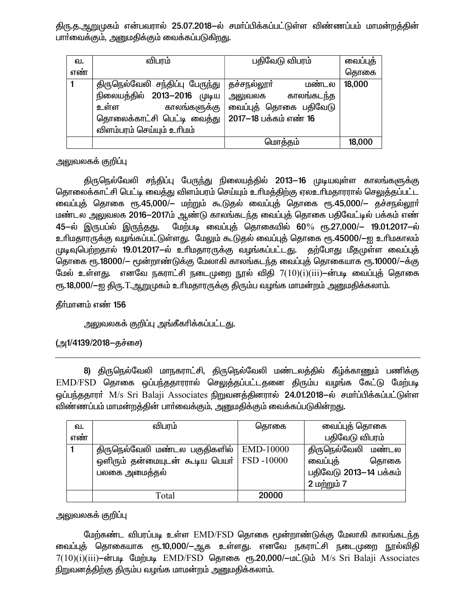திரு.த.ஆறுமுகம் என்பவரால் 25.07.2018–ல் சமா்ப்பிக்கப்பட்டுள்ள விண்ணப்பம் மாமன்றத்தின் பாா்வைக்கும், அனுமதிக்கும் வைக்கப்படுகிறது.

| வ.  | விபரம்                          | பதிவேடு விபரம்              | வைப்புத் |
|-----|---------------------------------|-----------------------------|----------|
| எண் |                                 |                             | தொகை     |
|     | திருநெல்வேலி சந்திப்பு பேருந்து | <b>தச்சநல்லூா்</b><br>மண்டல | 18,000   |
|     | நிலையத்தில் 2013-2016 முடிய     | காலங்கடந்த<br>அலுவலக        |          |
|     | காலங்களுக்கு<br>உள்ள            | வைப்புத் தொகை பதிவேடு       |          |
|     | தொலைக்காட்சி பெட்டி வைத்து      | 2017-18 பக்கம் எண் 16       |          |
|     | விளம்பரம் செய்யும் உரிமம்       |                             |          |
|     |                                 | மொத்தம்                     | 18,000   |

அலுவலகக் குறிப்பு

திருநெல்வேலி சந்திப்பு பேருந்து நிலையத்தில் 2013—16 முடியவுள்ள காலங்களுக்கு தொலைக்காட்சி பெட்டி வைத்து விளம்பரம் செய்யும் உரிமத்திற்கு ஏலஉரிமதாரரால் செலுத்தப்பட்ட வைப்புத் தொகை ரூ.45,000/– மற்றும் கூடுதல் வைப்புத் தொகை ரூ.45,000/– தச்சநல்லூர் மண்டல அலுவலக 2016–2017ம் ஆண்டு காலங்கடந்த வைப்புத் தொகை பதிவேட்டில் பக்கம் எண் 45-ல் இருபப்ல் இருந்தது. மேற்படி வைப்புத் தொகையில் 60% ரூ.27,000/– 19.01.2017–ல் உரிமதாரருக்கு வழங்கப்பட்டுள்ளது. மேலும் கூடுதல் வைப்புத் தொகை ரூ.45000/—ஐ உரிமகாலம் முடிவுபெற்றதால் 19.01.2017-ல் உரிமதாரருக்கு வழங்கப்பட்டது. தற்போது மீதமுள்ள வைப்புத் தொகை ரூ.18000/- மூன்றாண்டுக்கு மேலாகி காலங்கடந்த வைப்புத் தொகையாக ரூ.10000/-க்கு மேல் உள்ளது. எனவே நகராட்சி நடைமுறை நூல் விதி  $7(10)(i)(iii)$ —ன்படி வைப்புத் தொகை ரூ.18,000/—ஐ திரு. T.ஆறுமுகம் உரிமதாரருக்கு திரும்ப வழங்க மாமன்றம் அனுமதிக்கலாம்.

தீர்மானம் எண் 156

அலுவலகக் குறிப்பு அங்கீகரிக்கப்பட்டது.

(அ1/4139/2018–தச்சை)

8) திருநெல்வேலி மாநகராட்சி, திருநெல்வேலி மண்டலத்தில் கீழ்க்காணும் பணிக்கு EMD/FSD தொகை ஒப்பந்ததாரரால் செலுத்தப்பட்டதனை திரும்ப வழங்க கேட்டு மேற்படி ஒப்பந்ததாரா் M/s Sri Balaji Associates நிறுவனத்தினரால் 24.01.2018-ல் சமா்ப்பிக்கப்பட்டுள்ள விண்ணப்பம் மாமன்றத்தின் பார்வைக்கும். அனுமதிக்கும் வைக்கப்படுகின்றது.

| ഖ.  | விபரம்                                                                                                        | தொகை      | வைப்புத் தொகை                                                                   |  |
|-----|---------------------------------------------------------------------------------------------------------------|-----------|---------------------------------------------------------------------------------|--|
| எண் |                                                                                                               |           | பதிவேடு விபரம்                                                                  |  |
|     | திருநெல்வேலி மண்டல பகுதிகளில்  <br>ஒளிரும் தன்மையுடன் கூடிய பெயர்   $\mathrm{FSD}$ - $10000$<br>பலகை அமைத்தல் | EMD-10000 | திருநெல்வேலி மண்டல<br>வைப்புத்<br>தொகை<br>பதிவேடு 2013–14 பக்கம்<br>2 மற்றும் 7 |  |
|     | Total                                                                                                         | 20000     |                                                                                 |  |

# அலுவலகக் குறிப்பு

மேற்கண்ட விபரப்படி உள்ள EMD/FSD கொகை மூன்றாண்டுக்கு மேலாகி காலங்கடந்த வைப்புத் தொகையாக ரூ.10,000/—ஆக உள்ளது. எனவே நகராட்சி நடைமுறை நூல்விதி 7(10)(i)(iii)–ன்படி மேற்படி EMD/FSD தொகை ரூ.20,000/–மட்டும் M/s Sri Balaji Associates நிறுவனத்திற்கு திரும்ப வழங்க மாமன்றம் அனுமதிக்கலாம்.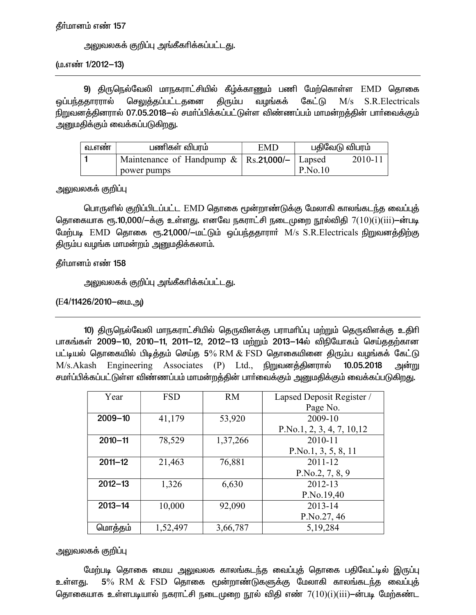#### தீர்மானம் எண் 157

அலுவலகக் குறிப்பு அங்கீகாிக்கப்பட்டது.

(ம.எண் 1/2012-13)

9) திருநெல்வேலி மாநகராட்சியில் கீழ்க்காணும் பணி மேற்கொள்ள EMD தொகை வழங்கக் ஒப்பந்ததாரரால் செலுத்தப்பட்டதனை திரும்ப கேட்டு  $M/s$ S.R.Electricals நிறுவனத்தினரால் 07.05.2018—ல் சமா்ப்பிக்கப்பட்டுள்ள விண்ணப்பம் மாமன்றத்தின் பாா்வைக்கும் அனுமதிக்கும் வைக்கப்படுகிறது.

| வ.எண | பணிகள் விபாம்                                        | EMD | பதிவேடு விபரம் |         |
|------|------------------------------------------------------|-----|----------------|---------|
|      | Maintenance of Handpump $\&$   Rs. 21,000/-   Lapsed |     |                | 2010-11 |
|      | power pumps                                          |     | P.No.10        |         |

அலுவலகக் குறிப்பு

பொருளில் குறிப்பிடப்பட்ட EMD தொகை மூன்றாண்டுக்கு மேலாகி காலங்கடந்த வைப்புத் தொகையாக ரூ.10,000/ $-\dot{\mathbf{a}}$ கு உள்ளது. எனவே நகராட்சி நடைமுறை நூல்விதி  $7(10)(i)(iii)$  $-\dot{\mathbf{a}}$ ாபடி மேற்படி EMD தொகை ரூ.21,000/-மட்டும் ஒப்பந்ததாரார் M/s S.R.Electricals நிறுவனத்திற்கு திரும்ப வழங்க மாமன்றம் அனுமதிக்கலாம்.

தீர்மானம் எண் 158

அலுவலகக் குறிப்பு அங்கீகரிக்கப்பட்டது.

(E4/11426/2010–மை.அ)

10) திருநெல்வேலி மாநகராட்சியில் தெருவிளக்கு பராமரிப்பு மற்றும் தெருவிளக்கு உதிரி பாகங்கள் 2009–10, 2010–11, 2011–12, 2012–13 மற்றும் 2013–14ல் விநியோகம் செய்ததற்கான பட்டியல் தொகையில் பிடித்தம் செய்த 5% RM & FSD தொகையினை திரும்ப வழங்கக் கேட்டு M/s.Akash Engineering Associates (P) Ltd., நிறுவனத்தினரால் 10.05.2018 அன்று சமா்ப்பிக்கப்பட்டுள்ள விண்ணப்பம் மாமன்றத்தின் பாா்வைக்கும் அனுமதிக்கும் வைக்கப்படுகிறது.

| Year        | <b>FSD</b> | <b>RM</b> | Lapsed Deposit Register /  |  |
|-------------|------------|-----------|----------------------------|--|
|             |            |           | Page No.                   |  |
| $2009 - 10$ | 41,179     | 53,920    | 2009-10                    |  |
|             |            |           | P.No.1, 2, 3, 4, 7, 10, 12 |  |
| $2010 - 11$ | 78,529     | 1,37,266  | 2010-11                    |  |
|             |            |           | P.No.1, 3, 5, 8, 11        |  |
| $2011 - 12$ | 21,463     | 76,881    | $2011 - 12$                |  |
|             |            |           | P.No.2, 7, 8, 9            |  |
| $2012 - 13$ | 1,326      | 6,630     | 2012-13                    |  |
|             |            |           | P.No.19,40                 |  |
| $2013 - 14$ | 10,000     | 92,090    | 2013-14                    |  |
|             |            |           | P.No.27, 46                |  |
| மொத்தம்     | 1,52,497   | 3,66,787  | 5,19,284                   |  |

அலுவலகக் குறிப்பு

மேற்படி தொகை மைய அலுவலக காலங்கடந்த வைப்புத் தொகை பதிவேட்டில் இருப்பு  $5\%$   $\,$   $\rm RM$   $\,\&$   $\,$   $\rm FSD$  தொகை மூன்றாண்டுகளுக்கு மேலாகி காலங்கடந்த வைப்புத் உள்ளகு. தொகையாக உள்ளபடியால் நகராட்சி நடைமுறை நூல் விதி எண்  $7(10)(i)(iii)$ —ன்படி மேற்கண்ட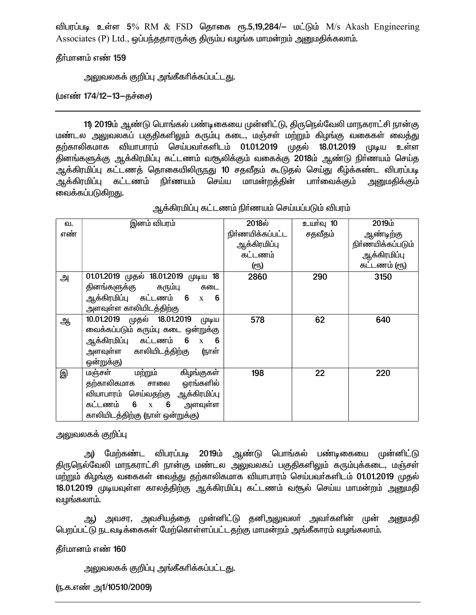விபரப்படி உள்ள 5% RM & FSD தொகை ரூ.5,19,284/– மட்டும் M/s Akash Engineering Associates (P) Ltd., ஒப்பந்ததாரருக்கு திரும்ப வழங்க மாமன்றம் அனுமதிக்கலாம்.

கீர்மானம் எண் 159

<u>அலுவலகக் குறிப்பு அங்கீகரிக்கப்பட்டது.</u>

(மஎண் 174/12-13-தச்சை)

11) 2019ம் ஆண்டு பொங்கல் பண்டிகையை முன்னிட்டு, திருநெல்வேலி மாநகராட்சி நான்கு மண்டல அலுவலகப் பகுதிகளிலும் கரும்பு கடை, மஞ்சள் மற்றும் கிழங்கு வகைகள் வைத்து தற்காலிகமாக வியாபாரம் செய்பவா்களிடம் 01.01.2019 முதல் 18.01.2019 (LDLgLLLI உள்ள தினங்களுக்கு ஆக்கிரமிப்பு கட்டணம் வசூலிக்கும் வகைக்கு 2018ம் ஆண்டு நிர்ணயம் செய்த ஆக்கிரமிப்பு கட்டணத் தொகையிலிருந்து 10 சதவீதம் கூடுதல் செய்து கீழ்க்கண்ட விபரப்படி கட்டணம் நிா்ணயம் செய்ய மாமன்றத்தின் பாா்வைக்கும் ஆக்கிரமிப்பு அனுமதிக்கும் வைக்கப்படுகிறது.

| வ.  | இனம் விபரம்                           | $2018\dot{\omega}$ | உயர்வு 10 | 2019ம்            |
|-----|---------------------------------------|--------------------|-----------|-------------------|
| எண் |                                       | நிர்ணயிக்கப்பட்ட   | சதவீதம்   | ஆண்டிற்கு         |
|     |                                       | ஆக்கிரமிப்பு       |           | நிர்ணயிக்கப்படும் |
|     |                                       | கட்டணம்            |           | ஆக்கிரமிப்பு      |
|     |                                       | (ரூ)               |           | கட்டணம் (ரூ)      |
| அ   | 01.01.2019 முதல் 18.01.2019 முடிய 18  | 2860               | 290       | 3150              |
|     | தினங்களுக்கு கரும்பு<br>கடை           |                    |           |                   |
|     | ஆக்கிரமிப்பு கட்டணம் 6 x 6            |                    |           |                   |
|     | அளவுள்ள காலியிடத்திற்கு               |                    |           |                   |
| ஆ   | 10.01.2019 முதல் 18.01.2019<br>(முடிய | 578                | 62        | 640               |
|     | வைக்கப்படும் கரும்பு கடை ஒன்றுக்கு    |                    |           |                   |
|     | ஆக்கிரமிப்பு கட்டணம் 6 x 6            |                    |           |                   |
|     | அளவுள்ள காலியிடத்திற்கு<br>(நாள்      |                    |           |                   |
|     | ஒன்றுக்கு)                            |                    |           |                   |
| இ   | <u>மஞ்சள் மற்றும்</u><br>கிழங்குகள்   | 198                | 22        | 220               |
|     | தற்காலிகமாக சாலை ஓரங்களில்            |                    |           |                   |
|     | வியாபாரம் செய்வதற்கு ஆக்கிரமிப்பு     |                    |           |                   |
|     | கட்டணம் 6 x 6 அளவுள்ள                 |                    |           |                   |
|     | காலியிடத்திற்கு (நாள் ஒன்றுக்கு)      |                    |           |                   |

ஆக்கிரமிப்பு கட்டணம் நிா்ணயம் செய்யப்படும் விபரம்

அலுவலகக் குறிப்பு

அ) மேற்கண்ட விபரப்படி 2019ம் ஆண்டு பொங்கல் பண்டிகையை முன்னிட்டு திருநெல்வேலி மாநகராட்சி நான்கு மண்டல அலுவலகப் பகுதிகளிலும் கரும்புக்கடை, மஞ்சள் மற்றும் கிழங்கு வகைகள் வைத்து தற்காலிகமாக வியாபாரம் செய்பவர்களிடம் 01.01.2019 முதல் 18.01.2019 முடியவுள்ள காலத்திற்கு ஆக்கிரமிப்பு கட்டணம் வசூல் செய்ய மாமன்றம் அனுமதி வழங்கலாம்.

ஆ) அவசர, அவசியத்தை முன்னிட்டு தனிஅலுவலா் அவா்களின் முன் அனுமதி பெறப்பட்டு நடவடிக்கைகள் மேற்கொள்ளப்பட்டதற்கு மாமன்றம் அங்கீகாரம் வழங்கலாம்.

தீர்மானம் எண் 160

```
<u>அலுவலகக் குறிப்பு அங்கீகரிக்கப்பட்டது.</u>
```
(ந.க.எண் அ1/10510/2009)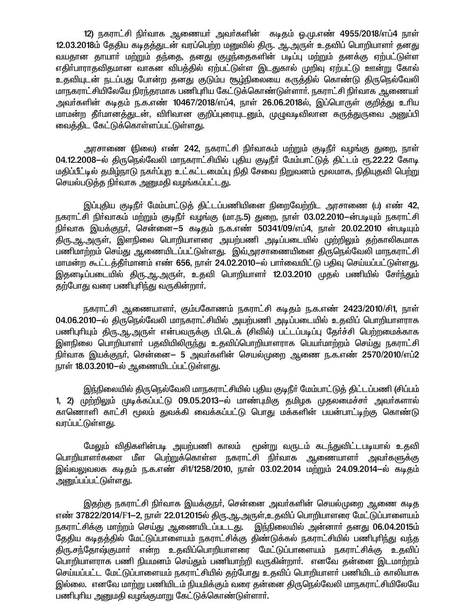12) நகராட்சி நிர்வாக ஆணையர் அவர்களின் கடிதம் ஒ.மு.எண் 4955/2018/எப்4 நாள் 12.03.2018ம் தேதிய கடிதத்துடன் வரப்பெற்ற மனுவில் திரு. ஆ.அருள் உதவிப் பொறியாளர் தனது வயதான தாயார் மற்றும் தந்தை, தனது குழந்தைகளின் படிப்பு மற்றும் தனக்கு ஏற்பட்டுள்ள எதிா்பாராதவிதமான வாகன விபத்தில் ஏற்பட்டுள்ள இடதுகால் முறிவு ஏற்பட்டு ஊன்று கோல் உதவியுடன் நடப்பது போன்ற தனது குடும்ப சூம்நிலையை கருத்தில் கொண்டு திருநெல்வேலி மாநகராட்சியிலேயே நிரந்தரமாக பணிபுரிய கேட்டுக்கொண்டுள்ளார். நகராட்சி நிர்வாக ஆணையர் அவா்களின் கடிதம் ந.க.எண் 10467/2018/எப்4, நாள் 26.06.2018ல், இப்பொருள் குறித்து உாிய மாமன்ற தீா்மானத்துடன், விாிவான குறிப்புரையுடனும், முழுவடிவிலான கருத்துருவை அனுப்பி வைத்திட கேட்டுக்கொள்ளப்பட்டுள்ளது.

அரசாணை (நிலை) எண் 242, நகராட்சி நிர்வாகம் மற்றும் குடிநீர் வழங்கு துறை, நாள் 04.12.2008-ல் திருநெல்வேலி மாநகராட்சியில் புதிய குடிநீர் மேம்பாட்டுத் திட்டம் ரூ.22.22 கோடி மதிப்பீட்டில் தமிழ்நாடு நகர்ப்புற உட்கட்டமைப்பு நிதி சேவை நிறுவனம் மூலமாக, நிதியுதவி பெற்று செயல்படுத்த நிர்வாக அனுமதி வழங்கப்பட்டது.

இப்புதிய குடிநீர் மேம்பாட்டுத் திட்டப்பணியினை நிறைவேற்றிட அரசாணை (ப) எண் 42, நகராட்சி நிா்வாகம் மற்றும் குடிநீா் வழங்கு (மா.ந.5) துறை, நாள் 03.02.2010-ன்படியும் நகராட்சி நிர்வாக இயக்குநர், சென்னை—5 கடிதம் ந.க.எண் 50341/09/எப்4, நாள் 20.02.2010 ன்படியும் திரு.ஆ.ஆருள், இளநிலை பொறியாளரை அயற்பணி அடிப்படையில் முற்றிலும் தற்காலிகமாக பணிமாற்றம் செய்து ஆணையிடப்பட்டுள்ளது. இவ்அரசாணையினை திருநெல்வேலி மாநகராட்சி மாமன்ற கூட்டத்தீர்மானம் எண் 656, நாள் 24.02.2010—ல் பார்வையிட்டு பதிவு செய்யப்பட்டுள்ளது. இதனடிப்படையில் கிரு.ஆ.அருள், உதவி பொறியாளர் 12.03.2010 முதல் பணியில் சேர்ந்தும் தற்போது வரை பணிபுரிந்து வருகின்றார்.

நகராட்சி ஆணையாளர், கும்பகோணம் நகராட்சி கடிதம் ந.க.எண் 2423/2010/சி1, நாள் 04.06.2010-ல் திருநெல்வேலி மாநகராட்சியில் அயற்பணி அடிப்படையில் உதவிப் பொறியாளராக பணிபுரியும் திரு.ஆ.அருள் என்பவருக்கு பி.டெக் (சிவில்) பட்டப்படிப்பு தேர்ச்சி பெற்றமைக்காக இளநிலை பொறியாளா் பதவியிலிருந்து உதவிப்பொறியாளராக பெயா்மாற்றம் செய்து நகராட்சி நிர்வாக இயக்குநர், சென்னை— 5 அவர்களின் செயல்முறை ஆணை ந.க.எண் 2570/2010/எப்2 நாள் 18.03.2010-ல் ஆணையிடப்பட்டுள்ளது.

இந்நிலையில் திருநெல்வேலி மாநகராட்சியில் புதிய குடிநீர் மேம்பாட்டுக் திட்டப்பணி (சிப்பம் 1, 2) முற்றிலும் முடிக்கப்பட்டு 09.05.2013-ல் மாண்புமிகு தமிழக முதலமைச்சர் அவர்களால் காணொளி காட்சி மூலம் துவக்கி வைக்கப்பட்டு பொது மக்களின் பயன்பாட்டிற்கு கொண்டு வரப்பட்டுள்ள<u>த</u>ு.

மேலும் விதிகளின்படி அயற்பணி காலம் மூன்று வருடம் கடந்துவிட்டபடியால் உதவி பொறியாளா்களை மீள பெற்றுக்கொள்ள நகராட்சி நிா்வாக ஆணையாளா் அவா்களுக்கு இவ்வலுவலக கடிதம் ந.க.எண் சி1/1258/2010, நாள் 03.02.2014 மற்றும் 24.09.2014–ல் கடிதம் <u>அனுப்பப்பட்டுள்ளது.</u>

இதற்கு நகராட்சி நிா்வாக இயக்குநா், சென்னை அவா்களின் செயல்முறை ஆணை கடித எண் 37822/2014/F1-2, நாள் 22.01.2015ல் திரு.ஆ.அருள்,உதவிப் பொறியாளரை மேட்டுப்பாளையம் நகராட்சிக்கு மாற்றம் செய்து ஆணையிடப்படடது. இந்நிலையில் அன்னாா் தனது 06.04.2015ம் தேதிய கடிதத்தில் மேட்டுப்பாளையம் நகராட்சிக்கு திண்டுக்கல் நகராட்சியில் பணிபுரிந்து வந்த திரு.சந்தோஷ்குமார் என்ற உதவிப்பொறியாளரை மேட்டுப்பாளையம் நகராட்சிக்கு உதவிப் பொறியாளராக பணி நியமனம் செய்தும் பணியாற்றி வருகின்றார். எனவே தன்னை இடமாற்றம் செய்யப்பட்ட மேட்டுப்பாளையம் நகராட்சியில் கற்போது உகவிப் பொறியாளர் பணியிடம் காலியாக இல்லை. எனவே மாற்று பணியிடம் நியமிக்கும் வரை தன்னை திருநெல்வேலி மாநகராட்சியிலேயே பணிபுரிய அனுமதி வழங்குமாறு கேட்டுக்கொண்டுள்ளார்.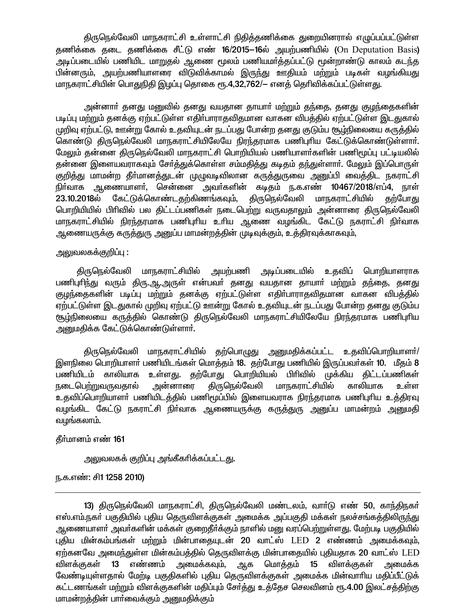திருநெல்வேலி மாநகராட்சி உள்ளாட்சி நிதித்தணிக்கை துறையினரால் எழுப்பப்பட்டுள்ள தணிக்கை தடை தணிக்கை சீட்டு எண் 16/2015–16ல் அயற்பணியில் (On Deputation Basis) அடிப்படையில் பணியிட மாறுதல் ஆணை மூலம் பணியமர்த்தப்பட்டு மூன்றாண்டு காலம் கடந்த பின்னரும், அயற்பணியாளரை விடுவிக்காமல் இருந்து ஊதியம் மற்றும் படிகள் வழங்கியது மாநகராட்சியின் பொதுநிதி இழப்பு தொகை ரூ.4,32,762/— எனத் தெரிவிக்கப்பட்டுள்ளது.

அன்னாா் தனது மனுவில் தனது வயதான தாயாா் மற்றும் தந்தை, தனது குழந்தைகளின் படிப்பு மற்றும் தனக்கு ஏற்பட்டுள்ள எதிர்பாராதவிதமான வாகன விபத்தில் ஏற்பட்டுள்ள இடதுகால் முறிவு ஏற்பட்டு, ஊன்று கோல் உதவியுடன் நடப்பது போன்ற தனது குடும்ப சூழ்நிலையை கருத்தில் கொண்டு திருநெல்வேலி மாநகராட்சியிலேயே நிரந்தரமாக பணிபுரிய கேட்டுக்கொண்டுள்ளார். மேலும் தன்னை திருநெல்வேலி மாநகராட்சி பொறியியல் பணியாளர்களின் பணிமூப்பு பட்டியலில் தன்னை இளையவராகவும் சேர்த்துக்கொள்ள சம்மதித்து கடிதம் தந்துள்ளார். மேலும் இப்பொருள் குறித்து மாமன்ற தீா்மானத்துடன் முழுவடிவிலான கருத்துருவை அனுப்பி வைத்திட நகராட்சி நிர்வாக ஆணையாளர், சென்னை அவர்களின் கடிதம் ந.க.எண் 10467/2018/எப்4, நாள் திருநெல்வேலி 23.10.2018ல் கேட்டுக்கொண்டதற்கிணங்கவும், மாநகராட்சியில் தற்போது பொறியியில் பிரிவில் பல திட்டப்பணிகள் நடைபெற்று வருவதாலும் அன்னாரை திருநெல்வேலி மாநகராட்சியில் நிரந்தரமாக பணிபுரிய உரிய ஆணை வழங்கிட கேட்டு நகராட்சி நிர்வாக ஆணையருக்கு கருத்துரு அனுப்ப மாமன்றத்தின் முடிவுக்கும், உத்திரவுக்காகவும்,

#### அலுவலகக்குறிப்பு :

திருநெல்வேலி மாநகராட்சியில் அயற்பணி அடிப்படையில் உதவிப் பொறியாளராக பணிபுரிந்து வரும் திரு.ஆ.அருள் என்பவர் தனது வயதான தாயார் மற்றும் தந்தை, தனது குழந்தைகளின் படிப்பு மற்றும் தனக்கு ஏற்பட்டுள்ள எதிர்பாராதவிதமான வாகன விபத்தில் ஏற்பட்டுள்ள இடதுகால் முறிவு ஏற்பட்டு ஊன்று கோல் உதவியுடன் நடப்பது போன்ற தனது குடும்ப <u>சூம்நிலையை கரு</u>த்தில் கொண்டு திருநெல்வேலி மாநகராட்சியிலேயே நிரந்தரமாக பணிபுரிய அனுமதிக்க கேட்டுக்கொண்டுள்ளார்.

திருநெல்வேலி மாநகராட்சியில் தற்பொழுது அனுமதிக்கப்பட்ட உதவிப்பொறியாளர்/ இளநிலை பொறியாளர் பணியிடங்கள் மொத்தம் 18. தற்போது பணியில் இருப்பவர்கள் 10. மீதம் 8 பணியிடம் காலியாக உள்ளது. தற்போது பொறியியல் பிரிவில் முக்கிய திட்டப்பணிகள் அன்னாரை திருநெல்வேலி <u>ந</u>டைபெற்றுவருவதால் மாநகராட்சியில் காலியாக உள்ள உதவிப்பொறியாளா் பணியிடத்தில் பணிமூப்பில் இளையவராக நிரந்தரமாக பணிபுாிய உத்திரவு வழங்கிட கேட்டு நகராட்சி நிர்வாக ஆணையருக்கு கருத்துரு அனுப்ப மாமன்றம் அனுமதி வழங்கலாம்.

தீர்மானம் எண் 161

அலுவலகக் குறிப்பு அங்கீகரிக்கப்பட்டது.

ந.க.எண்: சி1 1258 2010)

13) திருநெல்வேலி மாநகராட்சி, திருநெல்வேலி மண்டலம், வார்டு எண் 50, காந்திநகர் எஸ்.எம்.நகர் பகுதியில் புதிய தெருவிளக்குகள் அமைக்க அப்பகுதி மக்கள் நலச்சங்கத்திலிருந்து ஆணையாளா் அவா்களின் மக்கள் குறைதீா்க்கும் நாளில் மனு வரப்பெற்றுள்ளது. மேற்படி பகுதியில் புதிய மின்கம்பங்கள் மற்றும் மின்பாதையுடன் 20 வாட்ஸ் LED 2 எண்ணம் அமைக்கவும், ஏற்கனவே அமைந்துள்ள மின்கம்பத்தில் தெருவிளக்கு மின்பாதையில் புதியதாக 20 வாட்ஸ்  ${\rm LED}$ விளக்குகள் 13 எண்ணம் அமைக்கவும், ஆக மொத்தம் 15 விளக்குகள் அமைக்க வேண்டியுள்ளதால் மேற்டி பகுதிகளில் புதிய தெருவிளக்குகள் அமைக்க மின்வாரிய மதிப்பீட்டுக் கட்டணங்கள் மற்றும் விளக்குகளின் மதிப்பும் சோ்த்து உத்தேச செலவினம் ரூ.4.00 இலட்சத்திற்கு மாமன்றத்தின் பார்வைக்கும் அனுமதிக்கும்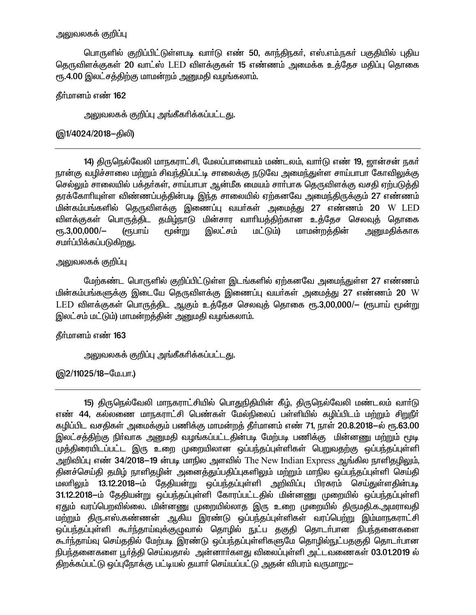## அலுவலகக் குறிப்பு

பொருளில் குறிப்பிட்டுள்ளபடி வாா்டு எண் 50, காந்திநகா், எஸ்.எம்.நகா் பகுதியில் புதிய தெருவிளக்குகள் 20 வாட்ஸ் LED விளக்குகள் 15 எண்ணம் அமைக்க உக்கேச மகிப்பு தொகை ரூ.4.00 இலட்சத்திற்கு மாமன்றம் அனுமதி வழங்கலாம்.

## தீர்மானம் எண் 162

அலுவலகக் குறிப்பு அங்கீகரிக்கப்பட்டது.

## (இ1/4024/2018–திலி)

14) திருநெல்வேலி மாநகராட்சி, மேலப்பாளையம் மண்டலம், வார்டு எண் 19, ஜான்சன் நகர் நான்கு வழிச்சாலை மற்றும் சிவந்திப்பட்டி சாலைக்கு நடுவே அமைந்துள்ள சாய்பாபா கோவிலுக்கு செல்லும் சாலையில் பக்தர்கள், சாய்பாபா ஆன்மீக மையம் சார்பாக தெருவிளக்கு வசதி ஏற்படுத்தி தரக்கோரியுள்ள விண்ணப்பத்தின்படி இந்த சாலையில் ஏற்கனவே அமைந்திருக்கும் 27 எண்ணம் மின்கம்பங்களில் தெருவிளக்கு இணைப்பு வயா்கள் அமைத்து 27 எண்ணம் 20 W LED விளக்குகள் பொருத்திட தமிழ்நாடு மின்சார வாரியத்திற்கான உத்தேச செலவுத் தொகை  $\epsilon$ гҧ.3,00,000/-(ரூபாய் மூன்று இலட்சம் மட்டும்) மாமன்றக்கின் அனுமகிக்காக சமா்ப்பிக்கப்படுகிறது.

### அலுவலகக் குறிப்பு

மேற்கண்ட பொருளில் குறிப்பிட்டுள்ள இடங்களில் ஏற்கனவே அமைந்துள்ள 27 எண்ணம் மின்கம்பங்களுக்கு இடையே தெருவிளக்கு இணைப்பு வயர்கள் அமைத்து 27 எண்ணம் 20 W LED விளக்குகள் பொருத்திட ஆகும் உத்தேச செலவுத் தொகை ரூ.3,00,000/— (ரூபாய் மூன்று இலட்சம் மட்டும்) மாமன்றத்தின் அனுமதி வழங்கலாம்.

தீர்மானம் எண் 163

அலுவலகக் குறிப்பு அங்கீகரிக்கப்பட்டது.

(இ2/11025/18-மே.பா.)

15) திருநெல்வேலி மாநகராட்சியில் பொதுநிதியின் கீழ், திருநெல்வேலி மண்டலம் வார்டு எண் 44, கல்லணை மாநகராட்சி பெண்கள் மேல்நிலைப் பள்ளியில் கழிப்பிடம் மற்றும் சிறுநீர் கழிப்பிட வசதிகள் அமைக்கும் பணிக்கு மாமன்றத் தீர்மானம் எண் 71, நாள் 20.8.2018—ல் ரூ.63.00 இலட்சத்திற்கு நிா்வாக அனுமதி வழங்கப்பட்டதின்படி மேற்படி பணிக்கு மின்னணு மற்றும் மூடி முத்திரையிடப்பட்ட இரு உறை முறையிலான ஒப்பந்தப்புள்ளிகள் பெறுவதற்கு ஒப்பந்தப்புள்ளி அறிவிப்பு எண் 34/2018–19 ன்படி மாநில அளவில் The New Indian Express ஆங்கில நாளிதழிலும், தினச்செய்தி தமிழ் நாளிதழின் அனைத்துப்பதிப்புகளிலும் மற்றும் மாநில ஒப்பந்தப்புள்ளி செய்தி மலரிலும் 13.12.2018—ம் தேதியன்று ஒப்பந்தப்புள்ளி அறிவிப்பு பிரசுரம் செய்துள்ளதின்படி 31.12.2018–ம் தேதியன்று ஒப்பந்தப்புள்ளி கோரப்பட்டதில் மின்னணு முறையில் ஒப்பந்தப்புள்ளி ஏதும் வரப்பெறவில்லை. மின்னணு முறையில்லாத இரு உறை முறையில் திருமதி.க.அமராவதி <u>மற்று</u>ம் திரு.எஸ்.கண்ணன் ஆகிய இரண்டு ஒப்பந்தப்புள்ளிகள் வரப்பெற்று இம்மாநகராட்சி ஒப்பந்தப்புள்ளி கூர்ந்தாய்வுக்குழுவால் தொழில் நுட்ப தகுதி தொடர்பான நிபந்தனைகளை கூர்ந்தாய்வு செய்ததில் மேற்படி இரண்டு ஒப்பந்தப்புள்ளிகளுமே தொழில்நுட்பதகுதி தொடர்பான நிபந்தனைகளை பூர்த்தி செய்வதால் அன்னார்களது விலைப்புள்ளி அட்டவணைகள் 03.01.2019 ல் திறக்கப்பட்டு ஒப்புநோக்கு பட்டியல் தயார் செய்யப்பட்டு அதன் விபரம் வருமாறு:-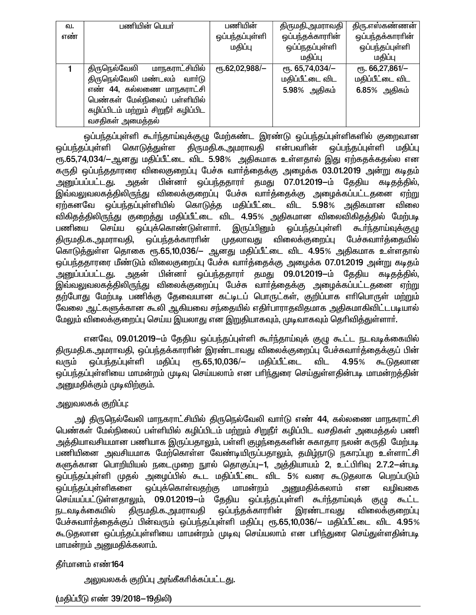| வ.  | பணியின் பெயர்                        | பணியின்                   | திருமதி.அமராவதி  | திரு.எஸ்கண்ணன்   |
|-----|--------------------------------------|---------------------------|------------------|------------------|
| எண் |                                      | ஒப்பந்தப்புள்ளி           | ஒப்பந்தக்காரரின் | ஒப்பந்தக்காரரின் |
|     |                                      | மதிப்பு                   | ஒப்ப்நதப்புள்ளி  | ஒப்பந்தப்புள்ளி  |
|     |                                      |                           | மதிப்பு          | மகிப்பு          |
|     | மாநகராட்சியில்<br>திருநெல்வேலி       | $\epsilon$ гђ.62,02,988/- | ет. 65,74,034/-  | ет. 66,27,861/-  |
|     | திருநெல்வேலி மண்டலம் வாா்டு          |                           | மதிப்பீட்டை விட  | மதிப்பீட்டை விட  |
|     | எண் 44, கல்லணை மாநகராட்சி            |                           | 5.98% அதிகம்     | 6.85% அதிகம்     |
|     | பெண்கள் மேல்நிலைப் பள்ளியில்         |                           |                  |                  |
|     | கழிப்பிடம் மற்றும் சிறுநீர் கழிப்பிட |                           |                  |                  |
|     | வசதிகள் அமைத்தல்                     |                           |                  |                  |

ஒப்பந்தப்புள்ளி கூா்ந்தாய்வுக்குழு மேற்கண்ட இரண்டு ஒப்பந்தப்புள்ளிகளில் குறைவான ஒப்பந்தப்புள்ளி கொடுத்துள்ள திருமதி.க.அமராவதி என்பவரின் ஒப்பந்தப்புள்ளி மதிப்பு ரூ.65,74,034/-ஆனது மதிப்பீட்டை விட 5.98% அதிகமாக உள்ளதால் இது ஏற்கதக்கதல்ல என கருதி ஒப்பந்ததாரரை விலைகுறைப்பு பேச்சு வார்த்தைக்கு அழைக்க 03.01.2019 அன்று கடிதம் அனுப்பப்பட்டது. அதன் பின்னா் ஒப்பந்ததாரா் தமது 07.01.2019—ம் தேதிய கடிதத்தில், .<br>இவ்வலுவலகத்திலிருந்து விலைக்குறைப்பு பேச்சு வார்த்தைக்கு அழைக்கப்பட்டதனை ஏற்று ஏற்கனவே ஒப்பந்தப்புள்ளியில் கொடுத்த மதிப்பீட்டை விட 5.98% அதிகமான விலை விகிதத்திலிருந்து குறைத்து மதிப்பீட்டை விட 4.95% அதிகமான விலைவிகிதத்தில் மேற்படி பணியை செய்ய ஒப்புக்கொண்டுள்ளாா். இருப்பினும் ஒப்பந்தப்புள்ளி கூர்ந்தாய்வுக்குழு திருமதி.க.அமராவதி, ஒப்பந்தக்காரரின் முதலாவது விலைக்குறைப்பு பேச்சுவார்த்தையில் கொடுத்துள்ள தொகை ரூ.65,10,036/— ஆனது மதிப்பீட்டை விட 4.95% அதிகமாக உள்ளதால் ஒப்பந்ததாரரை மீண்டும் விலைகுறைப்பு பேச்சு வார்த்தைக்கு அழைக்க 07.01.2019 அன்று கடிதம் அதன் பின்னா் ஒப்பந்ததாரா் தமது 09.01.2019-ம் தேதிய கடிதத்தில், <u>அனுப்பப்பட்டது.</u> இவ்வலுவலகத்திலிருந்து விலைக்குறைப்பு பேச்சு வார்த்தைக்கு அழைக்கப்பட்டதனை ஏற்று தற்போது மேற்படி பணிக்கு தேவையான கட்டிடப் பொருட்கள், குறிப்பாக எரிபொருள் மற்றும் வேலை ஆட்களுக்கான கூலி ஆகியவை சந்தையில் எதிர்பாராதவிதமாக அதிகமாகிவிட்டபடியால் மேலும் விலைக்குறைப்பு செய்ய இயலாது என இறுதியாகவும், முடிவாகவும் தெரிவித்துள்ளார்.

எனவே, 09.01.2019—ம் தேதிய ஒப்பந்தப்புள்ளி கூர்ந்தாய்வுக் குழு கூட்ட நடவடிக்கையில் திருமதி.க.அமராவதி, ஒப்பந்தக்காரரின் இரண்டாவது விலைக்குறைப்பு பேச்சுவார்த்தைக்குப் பின் மதிப்பீட்டை ஒப்பந்தப்புள்ளி மதிப்பு <sub>С</sub>п.65,10,036/— 4.95% கூடுகலான வரும் விட ஒப்பந்தப்புள்ளியை மாமன்றம் முடிவு செய்யலாம் என பரிந்துரை செய்துள்ளதின்படி மாமன்றத்தின் அனுமதிக்கும் முடிவிற்கும்.

# அலுவலகக் குறிப்பு:

அ) திருநெல்வேலி மாநகராட்சியில் திருநெல்வேலி வார்டு எண் 44, கல்லணை மாநகராட்சி பெண்கள் மேல்நிலைப் பள்ளியில் கழிப்பிடம் மற்றும் சிறுநீா் கழிப்பிட வசதிகள் அமைத்தல் பணி அத்தியாவசியமான பணியாக இருப்பதாலும், பள்ளி குழந்தைகளின் சுகாதார நலன் கருதி மேற்படி பணியினை அவசியமாக மேற்கொள்ள வேண்டியிருப்பதாலும், தமிழ்நாடு நகா;ப்புற உள்ளாட்சி களுக்கான பொறியியல் நடைமுறை நூல் தொகுப்பு—1, அத்தியாயம் 2, உட்பிரிவு 2.7.2—ன்படி ஒப்பந்தப்புள்ளி முதல் அழைப்பில் கூட மதிப்பீட்டை விட 5% வரை கூடுதலாக பெறப்படும் அனுமதிக்கலாம் ஒப்பந்தப்புள்ளிகளை ஒப்புக்கொள்வதற்கு மாமன்றம் என வழிவகை செய்யப்பட்டுள்ளதாலும், 09.01.2019-ம் தேதிய ஒப்பந்தப்புள்ளி கூர்ந்தாய்வுக் குழு கூட்ட நடவடிக்கையில் திருமதி.க.அமராவதி ஒப்பந்தக்காராின் இரண்டாவது விலைக்குறைப்பு பேச்சுவார்த்தைக்குப் பின்வரும் ஒப்பந்தப்புள்ளி மதிப்பு ரூ.65,10,036/— மதிப்பீட்டை விட 4.95% கூடுதலான ஒப்பந்தப்புள்ளியை மாமன்றம் முடிவு செய்யலாம் என பாிந்துரை செய்துள்ளதின்படி மாமன்றம் அனுமதிக்கலாம்.

# தீர்மானம் எண்164

அலுவலகக் குறிப்பு அங்கீகரிக்கப்பட்டது.

#### (மகிப்பீடு எண் 39/2018–19கிலி)